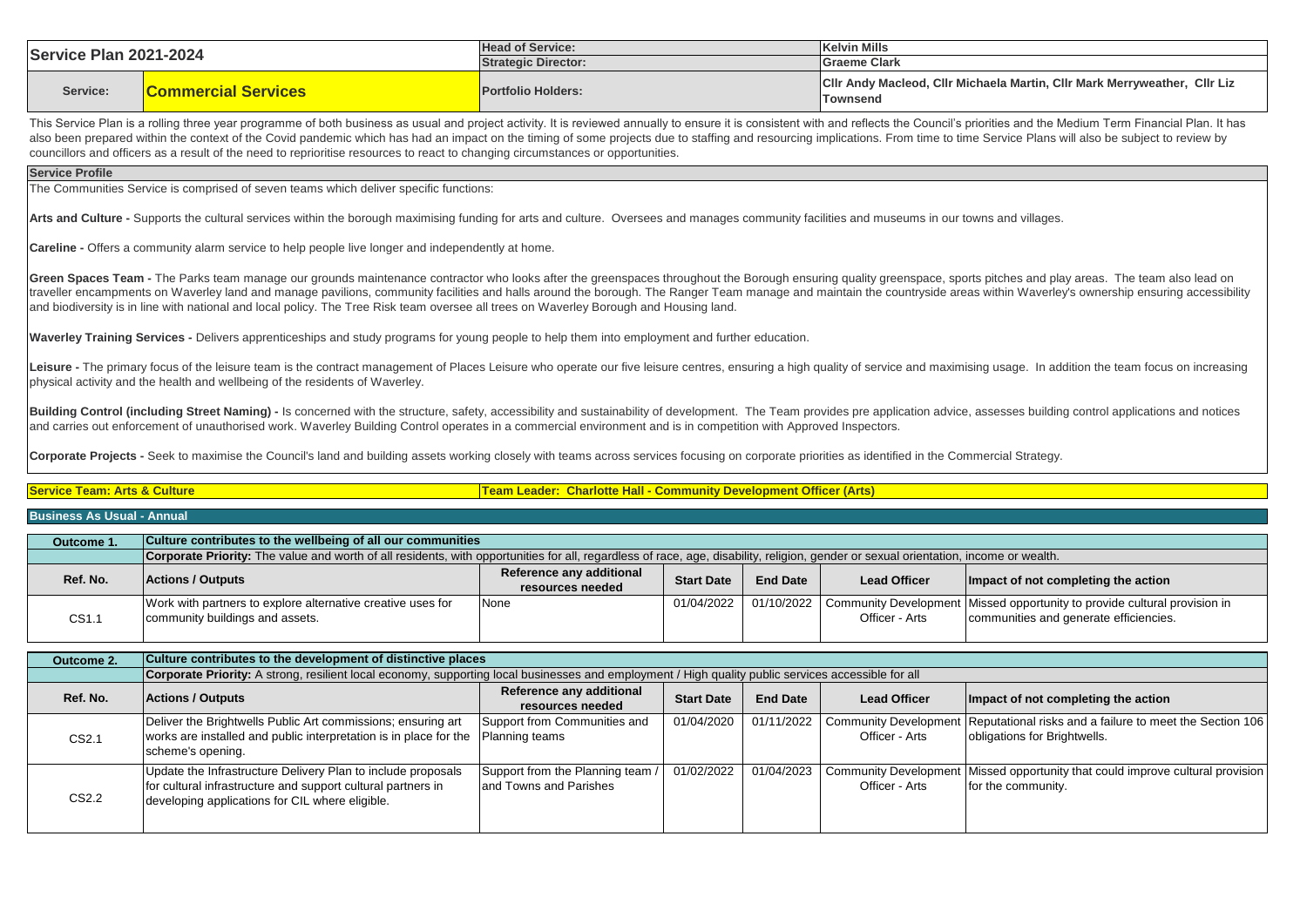| <b>Service Plan 2021-2024</b>           |                                                                                                                                                                                                                                                                                                                                                                                                                                                                                                                                                                                                     | <b>Head of Service:</b>                                                   |                   |                 | <b>Kelvin Mills</b>                            |                                                                                               |  |
|-----------------------------------------|-----------------------------------------------------------------------------------------------------------------------------------------------------------------------------------------------------------------------------------------------------------------------------------------------------------------------------------------------------------------------------------------------------------------------------------------------------------------------------------------------------------------------------------------------------------------------------------------------------|---------------------------------------------------------------------------|-------------------|-----------------|------------------------------------------------|-----------------------------------------------------------------------------------------------|--|
|                                         |                                                                                                                                                                                                                                                                                                                                                                                                                                                                                                                                                                                                     | <b>Strategic Director:</b>                                                |                   |                 | <b>Graeme Clark</b>                            |                                                                                               |  |
| Service:                                | <b>Commercial Services</b>                                                                                                                                                                                                                                                                                                                                                                                                                                                                                                                                                                          | <b>Portfolio Holders:</b>                                                 |                   |                 | <b>Townsend</b>                                | CIIr Andy Macleod, CIIr Michaela Martin, CIIr Mark Merryweather, CIIr Liz                     |  |
|                                         | This Service Plan is a rolling three year programme of both business as usual and project activity. It is reviewed annually to ensure it is consistent with and reflects the Council's priorities and the Medium Term Financia<br>also been prepared within the context of the Covid pandemic which has had an impact on the timing of some projects due to staffing and resourcing implications. From time to time Service Plans will also be subject to review<br>councillors and officers as a result of the need to reprioritise resources to react to changing circumstances or opportunities. |                                                                           |                   |                 |                                                |                                                                                               |  |
| <b>Service Profile</b>                  |                                                                                                                                                                                                                                                                                                                                                                                                                                                                                                                                                                                                     |                                                                           |                   |                 |                                                |                                                                                               |  |
|                                         | The Communities Service is comprised of seven teams which deliver specific functions:                                                                                                                                                                                                                                                                                                                                                                                                                                                                                                               |                                                                           |                   |                 |                                                |                                                                                               |  |
|                                         | Arts and Culture - Supports the cultural services within the borough maximising funding for arts and culture. Oversees and manages community facilities and museums in our towns and villages.                                                                                                                                                                                                                                                                                                                                                                                                      |                                                                           |                   |                 |                                                |                                                                                               |  |
|                                         | <b>Careline -</b> Offers a community alarm service to help people live longer and independently at home.                                                                                                                                                                                                                                                                                                                                                                                                                                                                                            |                                                                           |                   |                 |                                                |                                                                                               |  |
|                                         | Green Spaces Team - The Parks team manage our grounds maintenance contractor who looks after the greenspaces throughout the Borough ensuring quality greenspace, sports pitches and play areas. The team also lead on<br>traveller encampments on Waverley land and manage pavilions, community facilities and halls around the borough. The Ranger Team manage and maintain the countryside areas within Waverley's ownership ensuring accessibility<br>and biodiversity is in line with national and local policy. The Tree Risk team oversee all trees on Waverley Borough and Housing land.     |                                                                           |                   |                 |                                                |                                                                                               |  |
|                                         | Waverley Training Services - Delivers apprenticeships and study programs for young people to help them into employment and further education.                                                                                                                                                                                                                                                                                                                                                                                                                                                       |                                                                           |                   |                 |                                                |                                                                                               |  |
|                                         | Leisure - The primary focus of the leisure team is the contract management of Places Leisure who operate our five leisure centres, ensuring a high quality of service and maximising usage. In addition the team focus on incr<br>physical activity and the health and wellbeing of the residents of Waverley.                                                                                                                                                                                                                                                                                      |                                                                           |                   |                 |                                                |                                                                                               |  |
|                                         |                                                                                                                                                                                                                                                                                                                                                                                                                                                                                                                                                                                                     |                                                                           |                   |                 |                                                |                                                                                               |  |
|                                         | Building Control (including Street Naming) - Is concerned with the structure, safety, accessibility and sustainability of development. The Team provides pre application advice, assesses building control applications and no<br>and carries out enforcement of unauthorised work. Waverley Building Control operates in a commercial environment and is in competition with Approved Inspectors.                                                                                                                                                                                                  |                                                                           |                   |                 |                                                |                                                                                               |  |
|                                         | Corporate Projects - Seek to maximise the Council's land and building assets working closely with teams across services focusing on corporate priorities as identified in the Commercial Strategy.                                                                                                                                                                                                                                                                                                                                                                                                  |                                                                           |                   |                 |                                                |                                                                                               |  |
| <b>Service Team: Arts &amp; Culture</b> |                                                                                                                                                                                                                                                                                                                                                                                                                                                                                                                                                                                                     | <b>Team Leader: Charlotte Hall - Community Development Officer (Arts)</b> |                   |                 |                                                |                                                                                               |  |
| <b>Business As Usual - Annual</b>       |                                                                                                                                                                                                                                                                                                                                                                                                                                                                                                                                                                                                     |                                                                           |                   |                 |                                                |                                                                                               |  |
| Outcome 1.                              | Culture contributes to the wellbeing of all our communities                                                                                                                                                                                                                                                                                                                                                                                                                                                                                                                                         |                                                                           |                   |                 |                                                |                                                                                               |  |
|                                         | Corporate Priority: The value and worth of all residents, with opportunities for all, regardless of race, age, disability, religion, gender or sexual orientation, income or wealth.                                                                                                                                                                                                                                                                                                                                                                                                                |                                                                           |                   |                 |                                                |                                                                                               |  |
| Ref. No.                                | <b>Actions / Outputs</b>                                                                                                                                                                                                                                                                                                                                                                                                                                                                                                                                                                            | Reference any additional<br>resources needed                              | <b>Start Date</b> | <b>End Date</b> | <b>Lead Officer</b>                            | Impact of not completing the action                                                           |  |
| CS <sub>1.1</sub>                       | Work with partners to explore alternative creative uses for<br>community buildings and assets.                                                                                                                                                                                                                                                                                                                                                                                                                                                                                                      | None                                                                      | 01/04/2022        | 01/10/2022      | <b>Community Development</b><br>Officer - Arts | Missed opportunity to provide cultural provision in<br>communities and generate efficiencies. |  |
| Outcome 2.                              | Culture contributes to the development of distinctive places                                                                                                                                                                                                                                                                                                                                                                                                                                                                                                                                        |                                                                           |                   |                 |                                                |                                                                                               |  |
|                                         | Corporate Priority: A strong, resilient local economy, supporting local businesses and employment / High quality public services accessible for all                                                                                                                                                                                                                                                                                                                                                                                                                                                 |                                                                           |                   |                 |                                                |                                                                                               |  |
| Ref. No.                                | <b>Actions / Outputs</b>                                                                                                                                                                                                                                                                                                                                                                                                                                                                                                                                                                            | Reference any additional<br>resources needed                              | <b>Start Date</b> | <b>End Date</b> | <b>Lead Officer</b>                            | Impact of not completing the action                                                           |  |
| CS2.1                                   | Deliver the Brightwells Public Art commissions; ensuring art<br>works are installed and public interpretation is in place for the<br>scheme's opening.                                                                                                                                                                                                                                                                                                                                                                                                                                              | Support from Communities and<br>Planning teams                            | 01/04/2020        | 01/11/2022      | <b>Community Development</b><br>Officer - Arts | Reputational risks and a failure to meet the Section 106<br>obligations for Brightwells.      |  |
|                                         | Update the Infrastructure Delivery Plan to include proposals<br>for cultural infrastructure and support cultural partners in                                                                                                                                                                                                                                                                                                                                                                                                                                                                        | Support from the Planning team /<br>and Towns and Parishes                | 01/02/2022        | 01/04/2023      | <b>Community Development</b><br>Officer - Arts | Missed opportunity that could improve cultural provision<br>for the community.                |  |

CS2.2

developing applications for CIL where eligible.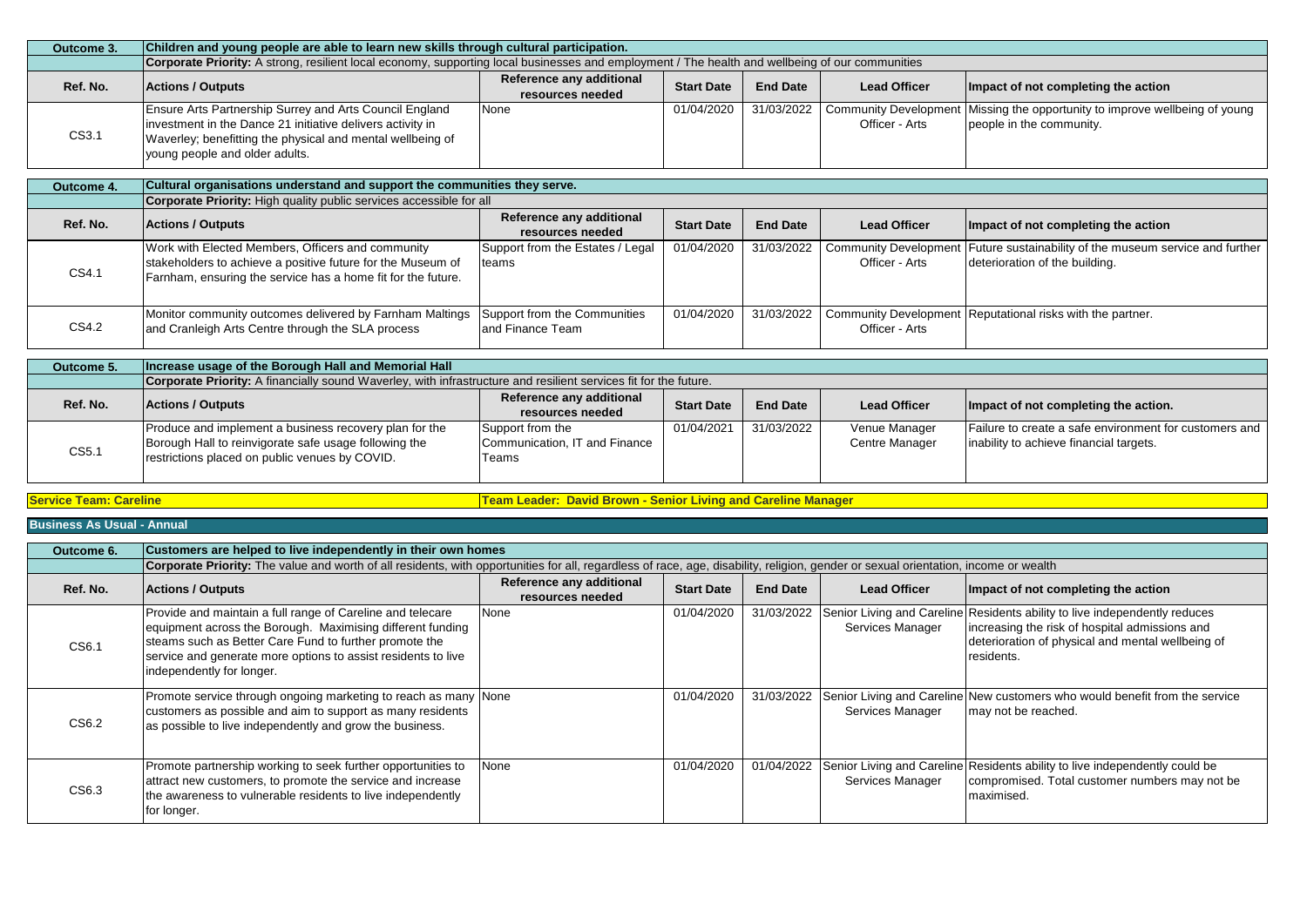| Outcome 3. | Children and young people are able to learn new skills through cultural participation.                                                                                                                                       |                                              |                   |                 |                     |                                                                                                                          |  |
|------------|------------------------------------------------------------------------------------------------------------------------------------------------------------------------------------------------------------------------------|----------------------------------------------|-------------------|-----------------|---------------------|--------------------------------------------------------------------------------------------------------------------------|--|
|            | Corporate Priority: A strong, resilient local economy, supporting local businesses and employment / The health and wellbeing of our communities                                                                              |                                              |                   |                 |                     |                                                                                                                          |  |
| Ref. No.   | <b>Actions / Outputs</b>                                                                                                                                                                                                     | Reference any additional<br>resources needed | <b>Start Date</b> | <b>End Date</b> | <b>Lead Officer</b> | Impact of not completing the action                                                                                      |  |
| CS3.1      | <b>Ensure Arts Partnership Surrey and Arts Council England</b><br>investment in the Dance 21 initiative delivers activity in<br>Waverley; benefitting the physical and mental wellbeing of<br>young people and older adults. | None                                         | 01/04/2020        |                 | Officer - Arts      | 31/03/2022   Community Development   Missing the opportunity to improve wellbeing of young  <br>people in the community. |  |

| Outcome 4. | Cultural organisations understand and support the communities they serve.                                                                                                        |                                                   |                   |                 |                     |                                                                                                                   |  |  |
|------------|----------------------------------------------------------------------------------------------------------------------------------------------------------------------------------|---------------------------------------------------|-------------------|-----------------|---------------------|-------------------------------------------------------------------------------------------------------------------|--|--|
|            | <b>Corporate Priority:</b> High quality public services accessible for all                                                                                                       |                                                   |                   |                 |                     |                                                                                                                   |  |  |
| Ref. No.   | <b>Actions / Outputs</b>                                                                                                                                                         | Reference any additional<br>resources needed      | <b>Start Date</b> | <b>End Date</b> | <b>Lead Officer</b> | Impact of not completing the action                                                                               |  |  |
| CS4.1      | Work with Elected Members, Officers and community<br>stakeholders to achieve a positive future for the Museum of<br>Farnham, ensuring the service has a home fit for the future. | Support from the Estates / Legal<br>Iteams        | 01/04/2020        | 31/03/2022      | Officer - Arts      | Community Development   Future sustainability of the museum service and further<br>deterioration of the building. |  |  |
| CS4.2      | Monitor community outcomes delivered by Farnham Maltings<br>and Cranleigh Arts Centre through the SLA process                                                                    | Support from the Communities<br>land Finance Team | 01/04/2020        |                 | Officer - Arts      | 31/03/2022 Community Development Reputational risks with the partner.                                             |  |  |

| Outcome 5. | Increase usage of the Borough Hall and Memorial Hall                                                                                                              |                                                            |                   |                 |                                 |                                                                                                   |
|------------|-------------------------------------------------------------------------------------------------------------------------------------------------------------------|------------------------------------------------------------|-------------------|-----------------|---------------------------------|---------------------------------------------------------------------------------------------------|
|            | <b>Corporate Priority:</b> A financially sound Waverley, with infrastructure and resilient services fit for the future.                                           |                                                            |                   |                 |                                 |                                                                                                   |
| Ref. No.   | <b>Actions / Outputs</b>                                                                                                                                          | Reference any additional<br>resources needed               | <b>Start Date</b> | <b>End Date</b> | <b>Lead Officer</b>             | Impact of not completing the action.                                                              |
| CS5.1      | Produce and implement a business recovery plan for the<br>Borough Hall to reinvigorate safe usage following the<br>restrictions placed on public venues by COVID. | Support from the<br>Communication, IT and Finance<br>Teams | 01/04/2021        | 31/03/2022      | Venue Manager<br>Centre Manager | Failure to create a safe environment for customers and<br>inability to achieve financial targets. |

**Service Team: Careline Team: Careline Team Leader: David Brown - Senior Living and Careline Manager** 

| Outcome 6. | Customers are helped to live independently in their own homes                                                                                                                                                                                                                    |                                              |                   |                 |                     |                                                                                                                                                                                                            |  |  |
|------------|----------------------------------------------------------------------------------------------------------------------------------------------------------------------------------------------------------------------------------------------------------------------------------|----------------------------------------------|-------------------|-----------------|---------------------|------------------------------------------------------------------------------------------------------------------------------------------------------------------------------------------------------------|--|--|
|            | Corporate Priority: The value and worth of all residents, with opportunities for all, regardless of race, age, disability, religion, gender or sexual orientation, income or wealth                                                                                              |                                              |                   |                 |                     |                                                                                                                                                                                                            |  |  |
| Ref. No.   | <b>Actions / Outputs</b>                                                                                                                                                                                                                                                         | Reference any additional<br>resources needed | <b>Start Date</b> | <b>End Date</b> | <b>Lead Officer</b> | Impact of not completing the action                                                                                                                                                                        |  |  |
| CS6.1      | Provide and maintain a full range of Careline and telecare<br>equipment across the Borough. Maximising different funding<br>steams such as Better Care Fund to further promote the<br>service and generate more options to assist residents to live<br>independently for longer. | None                                         | 01/04/2020        |                 | Services Manager    | 31/03/2022 Senior Living and Careline Residents ability to live independently reduces<br>increasing the risk of hospital admissions and<br>deterioration of physical and mental wellbeing of<br>residents. |  |  |
| CS6.2      | Promote service through ongoing marketing to reach as many None<br>customers as possible and aim to support as many residents<br>as possible to live independently and grow the business.                                                                                        |                                              | 01/04/2020        |                 | Services Manager    | 31/03/2022 Senior Living and Careline New customers who would benefit from the service<br>may not be reached.                                                                                              |  |  |
| CS6.3      | Promote partnership working to seek further opportunities to<br>attract new customers, to promote the service and increase<br>the awareness to vulnerable residents to live independently<br>for longer.                                                                         | None                                         | 01/04/2020        |                 | Services Manager    | 01/04/2022 Senior Living and Careline Residents ability to live independently could be<br>compromised. Total customer numbers may not be<br>Imaximised.                                                    |  |  |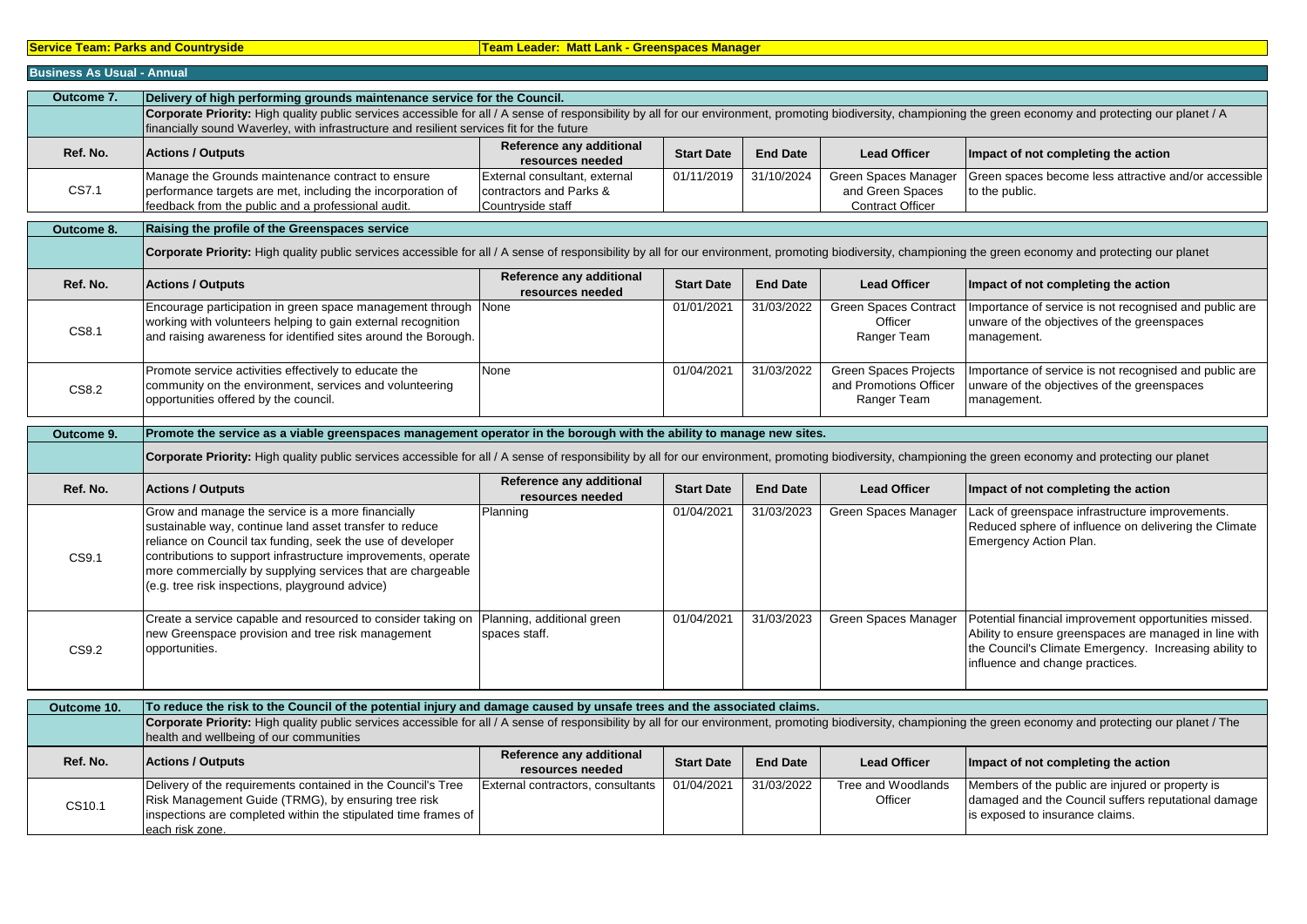#### **Service Team: Parks and Countryside**  Team Leader: Matt Lank - Greenspaces Manager

| <b>Business As Usual - Annual</b> |                                                                                                                                                                                                                                                                                                                                                               |                                                                               |                   |                 |                                                                       |                                                                                                                                                                                                              |  |  |
|-----------------------------------|---------------------------------------------------------------------------------------------------------------------------------------------------------------------------------------------------------------------------------------------------------------------------------------------------------------------------------------------------------------|-------------------------------------------------------------------------------|-------------------|-----------------|-----------------------------------------------------------------------|--------------------------------------------------------------------------------------------------------------------------------------------------------------------------------------------------------------|--|--|
| Outcome 7.                        | Delivery of high performing grounds maintenance service for the Council.                                                                                                                                                                                                                                                                                      |                                                                               |                   |                 |                                                                       |                                                                                                                                                                                                              |  |  |
|                                   | Corporate Priority: High quality public services accessible for all / A sense of responsibility by all for our environment, promoting biodiversity, championing the green economy and protecting our planet / A<br>financially sound Waverley, with infrastructure and resilient services fit for the future                                                  |                                                                               |                   |                 |                                                                       |                                                                                                                                                                                                              |  |  |
| Ref. No.                          | <b>Actions / Outputs</b>                                                                                                                                                                                                                                                                                                                                      | Reference any additional<br>resources needed                                  | <b>Start Date</b> | <b>End Date</b> | <b>Lead Officer</b>                                                   | Impact of not completing the action                                                                                                                                                                          |  |  |
| CS7.1                             | Manage the Grounds maintenance contract to ensure<br>performance targets are met, including the incorporation of<br>feedback from the public and a professional audit.                                                                                                                                                                                        | External consultant, external<br>contractors and Parks &<br>Countryside staff | 01/11/2019        | 31/10/2024      | Green Spaces Manager<br>and Green Spaces<br><b>Contract Officer</b>   | Green spaces become less attractive and/or accessible<br>to the public.                                                                                                                                      |  |  |
| Outcome 8.                        | Raising the profile of the Greenspaces service                                                                                                                                                                                                                                                                                                                |                                                                               |                   |                 |                                                                       |                                                                                                                                                                                                              |  |  |
|                                   | Corporate Priority: High quality public services accessible for all / A sense of responsibility by all for our environment, promoting biodiversity, championing the green economy and protecting our planet                                                                                                                                                   |                                                                               |                   |                 |                                                                       |                                                                                                                                                                                                              |  |  |
| Ref. No.                          | <b>Actions / Outputs</b>                                                                                                                                                                                                                                                                                                                                      | Reference any additional<br>resources needed                                  | <b>Start Date</b> | <b>End Date</b> | <b>Lead Officer</b>                                                   | Impact of not completing the action                                                                                                                                                                          |  |  |
| CS8.1                             | Encourage participation in green space management through None<br>working with volunteers helping to gain external recognition<br>and raising awareness for identified sites around the Borough.                                                                                                                                                              |                                                                               | 01/01/2021        | 31/03/2022      | <b>Green Spaces Contract</b><br>Officer<br>Ranger Team                | Importance of service is not recognised and public are<br>unware of the objectives of the greenspaces<br>management.                                                                                         |  |  |
| CS8.2                             | Promote service activities effectively to educate the<br>community on the environment, services and volunteering<br>opportunities offered by the council.                                                                                                                                                                                                     | None                                                                          | 01/04/2021        | 31/03/2022      | <b>Green Spaces Projects</b><br>and Promotions Officer<br>Ranger Team | Importance of service is not recognised and public are<br>unware of the objectives of the greenspaces<br>management.                                                                                         |  |  |
| Outcome 9.                        | Promote the service as a viable greenspaces management operator in the borough with the ability to manage new sites.                                                                                                                                                                                                                                          |                                                                               |                   |                 |                                                                       |                                                                                                                                                                                                              |  |  |
|                                   | Corporate Priority: High quality public services accessible for all / A sense of responsibility by all for our environment, promoting biodiversity, championing the green economy and protecting our planet                                                                                                                                                   |                                                                               |                   |                 |                                                                       |                                                                                                                                                                                                              |  |  |
| Ref. No.                          | <b>Actions / Outputs</b>                                                                                                                                                                                                                                                                                                                                      | Reference any additional<br>resources needed                                  | <b>Start Date</b> | <b>End Date</b> | <b>Lead Officer</b>                                                   | Impact of not completing the action                                                                                                                                                                          |  |  |
| CS9.1                             | Grow and manage the service is a more financially<br>sustainable way, continue land asset transfer to reduce<br>reliance on Council tax funding, seek the use of developer<br>contributions to support infrastructure improvements, operate<br>more commercially by supplying services that are chargeable<br>(e.g. tree risk inspections, playground advice) | Planning                                                                      | 01/04/2021        | 31/03/2023      | Green Spaces Manager                                                  | Lack of greenspace infrastructure improvements.<br>Reduced sphere of influence on delivering the Climate<br>Emergency Action Plan.                                                                           |  |  |
| CS9.2                             | Create a service capable and resourced to consider taking on Planning, additional green<br>new Greenspace provision and tree risk management<br>opportunities.                                                                                                                                                                                                | spaces staff.                                                                 | 01/04/2021        | 31/03/2023      | Green Spaces Manager                                                  | Potential financial improvement opportunities missed.<br>Ability to ensure greenspaces are managed in line with<br>the Council's Climate Emergency. Increasing ability to<br>influence and change practices. |  |  |
| Outcome 10.                       | To reduce the risk to the Council of the potential injury and damage caused by unsafe trees and the associated claims.                                                                                                                                                                                                                                        |                                                                               |                   |                 |                                                                       |                                                                                                                                                                                                              |  |  |
|                                   | Corporate Priority: High quality public services accessible for all / A sense of responsibility by all for our environment, promoting biodiversity, championing the green economy and protecting our planet / The<br>health and wellbeing of our communities                                                                                                  |                                                                               |                   |                 |                                                                       |                                                                                                                                                                                                              |  |  |
| Ref. No.                          | <b>Actions / Outputs</b>                                                                                                                                                                                                                                                                                                                                      | Reference any additional<br>resources needed                                  | <b>Start Date</b> | <b>End Date</b> | <b>Lead Officer</b>                                                   | Impact of not completing the action                                                                                                                                                                          |  |  |
| CS10.1                            | Delivery of the requirements contained in the Council's Tree<br>Risk Management Guide (TRMG), by ensuring tree risk<br>inspections are completed within the stipulated time frames of<br>each risk zone.                                                                                                                                                      | External contractors, consultants                                             | 01/04/2021        | 31/03/2022      | Tree and Woodlands<br>Officer                                         | Members of the public are injured or property is<br>damaged and the Council suffers reputational damage<br>is exposed to insurance claims.                                                                   |  |  |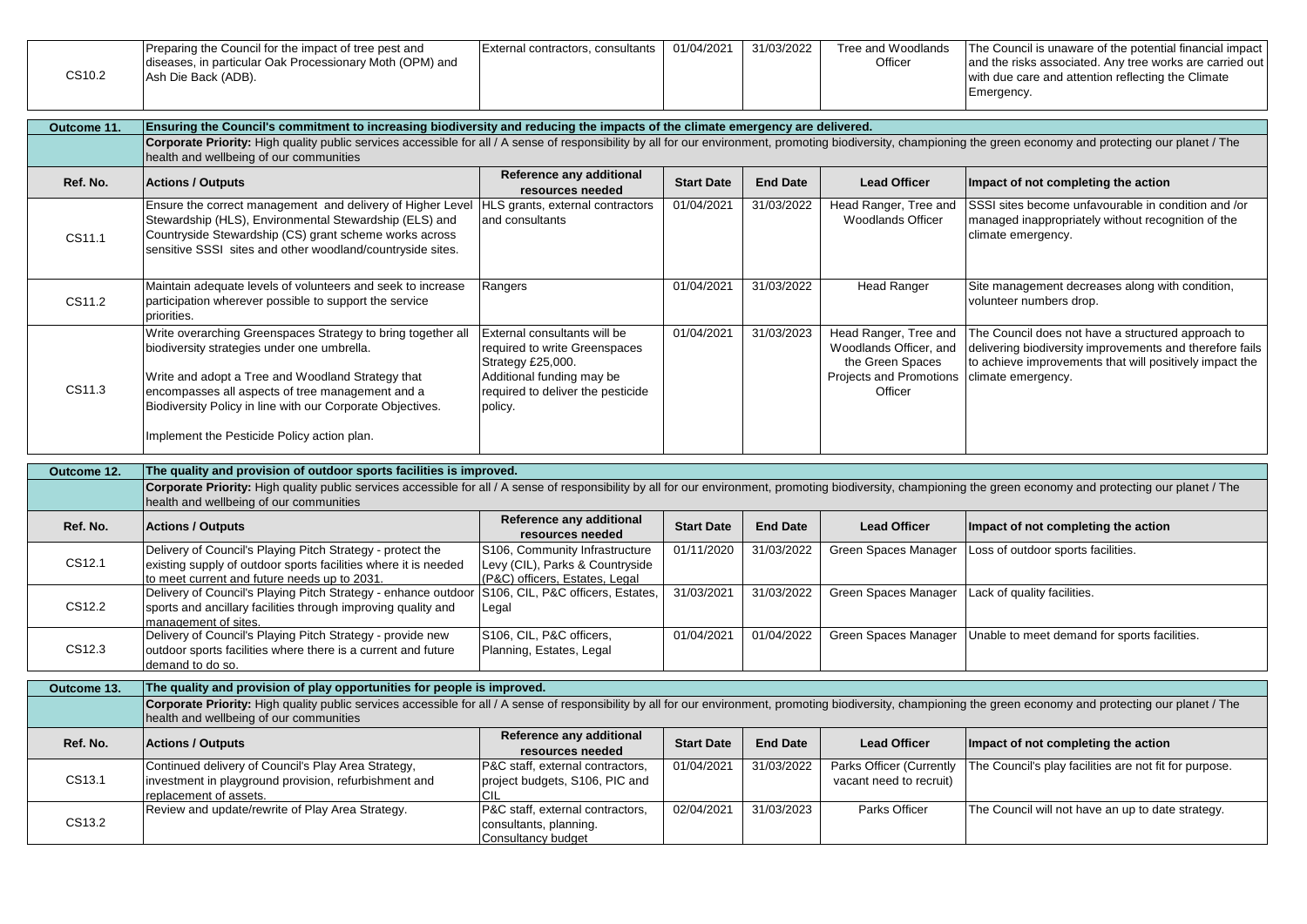|        | Preparing the Council for the impact of tree pest and    | External contractors, consultants | 01/04/2021 | 31/03/2022 | Tree and Woodlands | The Council is unaware of the potential financial impact |
|--------|----------------------------------------------------------|-----------------------------------|------------|------------|--------------------|----------------------------------------------------------|
|        | diseases, in particular Oak Processionary Moth (OPM) and |                                   |            |            | Officer            | and the risks associated. Any tree works are carried out |
| CS10.2 | Ash Die Back (ADB).                                      |                                   |            |            |                    | with due care and attention reflecting the Climate       |
|        |                                                          |                                   |            |            |                    | Emergency.                                               |
|        |                                                          |                                   |            |            |                    |                                                          |

| Outcome 11. | Ensuring the Council's commitment to increasing biodiversity and reducing the impacts of the climate emergency are delivered.                                                                                                                                                      |                                                                                                                                                                 |                   |                 |                                                                                                           |                                                                                                                                                                                                 |  |  |
|-------------|------------------------------------------------------------------------------------------------------------------------------------------------------------------------------------------------------------------------------------------------------------------------------------|-----------------------------------------------------------------------------------------------------------------------------------------------------------------|-------------------|-----------------|-----------------------------------------------------------------------------------------------------------|-------------------------------------------------------------------------------------------------------------------------------------------------------------------------------------------------|--|--|
|             | Corporate Priority: High quality public services accessible for all / A sense of responsibility by all for our environment, promoting biodiversity, championing the green economy and protecting our planet / The<br>health and wellbeing of our communities                       |                                                                                                                                                                 |                   |                 |                                                                                                           |                                                                                                                                                                                                 |  |  |
| Ref. No.    | <b>Actions / Outputs</b>                                                                                                                                                                                                                                                           | Reference any additional<br>resources needed                                                                                                                    | <b>Start Date</b> | <b>End Date</b> | <b>Lead Officer</b>                                                                                       | Impact of not completing the action                                                                                                                                                             |  |  |
| CS11.1      | Ensure the correct management and delivery of Higher Level HLS grants, external contractors<br>Stewardship (HLS), Environmental Stewardship (ELS) and<br>Countryside Stewardship (CS) grant scheme works across<br>sensitive SSSI sites and other woodland/countryside sites.      | and consultants                                                                                                                                                 | 01/04/2021        | 31/03/2022      | Head Ranger, Tree and<br><b>Woodlands Officer</b>                                                         | SSSI sites become unfavourable in condition and /or<br>managed inappropriately without recognition of the<br>climate emergency.                                                                 |  |  |
| CS11.2      | Maintain adequate levels of volunteers and seek to increase<br>participation wherever possible to support the service<br>priorities.                                                                                                                                               | Rangers                                                                                                                                                         | 01/04/2021        | 31/03/2022      | <b>Head Ranger</b>                                                                                        | Site management decreases along with condition,<br>volunteer numbers drop.                                                                                                                      |  |  |
| CS11.3      | Write overarching Greenspaces Strategy to bring together all<br>biodiversity strategies under one umbrella.<br>Write and adopt a Tree and Woodland Strategy that<br>encompasses all aspects of tree management and a<br>Biodiversity Policy in line with our Corporate Objectives. | External consultants will be<br>required to write Greenspaces<br>Strategy £25,000.<br>Additional funding may be<br>required to deliver the pesticide<br>policy. | 01/04/2021        | 31/03/2023      | Head Ranger, Tree and<br>Woodlands Officer, and<br>the Green Spaces<br>Projects and Promotions<br>Officer | The Council does not have a structured approach to<br>delivering biodiversity improvements and therefore fails<br>to achieve improvements that will positively impact the<br>climate emergency. |  |  |
|             | Implement the Pesticide Policy action plan.                                                                                                                                                                                                                                        |                                                                                                                                                                 |                   |                 |                                                                                                           |                                                                                                                                                                                                 |  |  |
| Outcome 12. | The quality and provision of outdoor sports facilities is improved.                                                                                                                                                                                                                |                                                                                                                                                                 |                   |                 |                                                                                                           |                                                                                                                                                                                                 |  |  |
|             | Corporate Priority: High quality public services accessible for all / A sense of responsibility by all for our environment, promoting biodiversity, championing the green economy and protecting our planet / The<br>health and wellbeing of our communities                       |                                                                                                                                                                 |                   |                 |                                                                                                           |                                                                                                                                                                                                 |  |  |
| Ref. No.    | <b>Actions / Outputs</b>                                                                                                                                                                                                                                                           | Reference any additional<br>resources needed                                                                                                                    | <b>Start Date</b> | <b>End Date</b> | <b>Lead Officer</b>                                                                                       | Impact of not completing the action                                                                                                                                                             |  |  |
| CS12.1      | Delivery of Council's Playing Pitch Strategy - protect the<br>existing supply of outdoor sports facilities where it is needed<br>to meet current and future needs up to 2031.                                                                                                      | S106, Community Infrastructure<br>Levy (CIL), Parks & Countryside<br>(P&C) officers, Estates, Legal                                                             | 01/11/2020        | 31/03/2022      | Green Spaces Manager                                                                                      | Loss of outdoor sports facilities.                                                                                                                                                              |  |  |
| CS12.2      | Delivery of Council's Playing Pitch Strategy - enhance outdoor<br>sports and ancillary facilities through improving quality and<br>management of sites.                                                                                                                            | S106, CIL, P&C officers, Estates,<br>Legal                                                                                                                      | 31/03/2021        | 31/03/2022      | Green Spaces Manager                                                                                      | Lack of quality facilities.                                                                                                                                                                     |  |  |
| CS12.3      | Delivery of Council's Playing Pitch Strategy - provide new<br>outdoor sports facilities where there is a current and future<br>demand to do so.                                                                                                                                    | S106, CIL, P&C officers,<br>Planning, Estates, Legal                                                                                                            | 01/04/2021        | 01/04/2022      | Green Spaces Manager                                                                                      | Unable to meet demand for sports facilities.                                                                                                                                                    |  |  |
| Outcome 13. | The quality and provision of play opportunities for people is improved.                                                                                                                                                                                                            |                                                                                                                                                                 |                   |                 |                                                                                                           |                                                                                                                                                                                                 |  |  |
|             | Corporate Priority: High quality public services accessible for all / A sense of responsibility by all for our environment, promoting biodiversity, championing the green economy and protecting our planet / The<br>health and wellbeing of our communities                       |                                                                                                                                                                 |                   |                 |                                                                                                           |                                                                                                                                                                                                 |  |  |
| Ref. No.    | <b>Actions / Outputs</b>                                                                                                                                                                                                                                                           | Reference any additional<br>resources needed                                                                                                                    | <b>Start Date</b> | <b>End Date</b> | <b>Lead Officer</b>                                                                                       | Impact of not completing the action                                                                                                                                                             |  |  |
| CS13.1      | Continued delivery of Council's Play Area Strategy,<br>investment in playground provision, refurbishment and<br>replacement of assets.                                                                                                                                             | P&C staff, external contractors,<br>project budgets, S106, PIC and<br>CIL                                                                                       | 01/04/2021        | 31/03/2022      | Parks Officer (Currently<br>vacant need to recruit)                                                       | The Council's play facilities are not fit for purpose.                                                                                                                                          |  |  |
| CS13.2      | Review and update/rewrite of Play Area Strategy.                                                                                                                                                                                                                                   | P&C staff, external contractors,<br>consultants, planning.                                                                                                      | 02/04/2021        | 31/03/2023      | Parks Officer                                                                                             | The Council will not have an up to date strategy.                                                                                                                                               |  |  |

Consultancy budget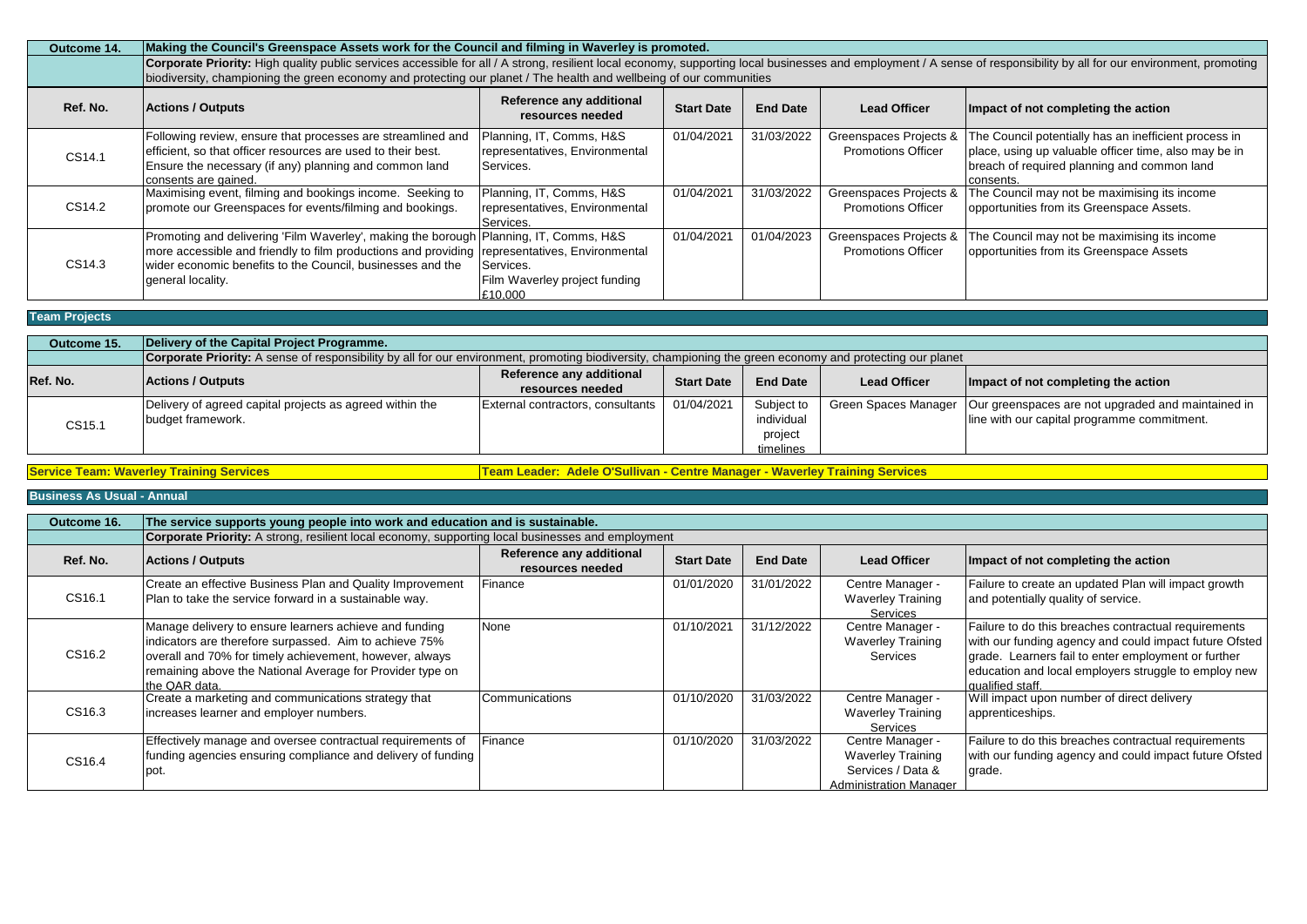| Outcome 14. | Making the Council's Greenspace Assets work for the Council and filming in Waverley is promoted.                                                                                                                                                                                                                                             |                                                                         |                   |                 |                                                     |                                                                                                                                                                            |  |  |  |
|-------------|----------------------------------------------------------------------------------------------------------------------------------------------------------------------------------------------------------------------------------------------------------------------------------------------------------------------------------------------|-------------------------------------------------------------------------|-------------------|-----------------|-----------------------------------------------------|----------------------------------------------------------------------------------------------------------------------------------------------------------------------------|--|--|--|
|             | Corporate Priority: High quality public services accessible for all / A strong, resilient local economy, supporting local businesses and employment / A sense of responsibility by all for our environment, promoting<br>biodiversity, championing the green economy and protecting our planet / The health and wellbeing of our communities |                                                                         |                   |                 |                                                     |                                                                                                                                                                            |  |  |  |
| Ref. No.    | <b>Actions / Outputs</b>                                                                                                                                                                                                                                                                                                                     | Reference any additional<br>resources needed                            | <b>Start Date</b> | <b>End Date</b> | <b>Lead Officer</b>                                 | Impact of not completing the action                                                                                                                                        |  |  |  |
| CS14.1      | Following review, ensure that processes are streamlined and<br>efficient, so that officer resources are used to their best.<br>Ensure the necessary (if any) planning and common land<br>consents are gained.                                                                                                                                | Planning, IT, Comms, H&S<br>representatives, Environmental<br>Services. | 01/04/2021        | 31/03/2022      | Greenspaces Projects &<br><b>Promotions Officer</b> | The Council potentially has an inefficient process in<br>place, using up valuable officer time, also may be in<br>breach of required planning and common land<br>consents. |  |  |  |
| CS14.2      | Maximising event, filming and bookings income. Seeking to<br>promote our Greenspaces for events/filming and bookings.                                                                                                                                                                                                                        | Planning, IT, Comms, H&S<br>representatives, Environmental<br>Services. | 01/04/2021        | 31/03/2022      | Greenspaces Projects &<br><b>Promotions Officer</b> | The Council may not be maximising its income<br>opportunities from its Greenspace Assets.                                                                                  |  |  |  |
| CS14.3      | Promoting and delivering 'Film Waverley', making the borough Planning, IT, Comms, H&S<br>more accessible and friendly to film productions and providing representatives, Environmental<br>wider economic benefits to the Council, businesses and the<br>general locality.                                                                    | Services.<br>Film Waverley project funding<br>£10.000                   | 01/04/2021        | 01/04/2023      | Greenspaces Projects &<br><b>Promotions Officer</b> | The Council may not be maximising its income<br>opportunities from its Greenspace Assets                                                                                   |  |  |  |

## **Team Projects**

| Outcome 15. | Delivery of the Capital Project Programme.                                                                                                                |                                              |                   |                                                  |                     |                                                                                                                          |  |
|-------------|-----------------------------------------------------------------------------------------------------------------------------------------------------------|----------------------------------------------|-------------------|--------------------------------------------------|---------------------|--------------------------------------------------------------------------------------------------------------------------|--|
|             | Corporate Priority: A sense of responsibility by all for our environment, promoting biodiversity, championing the green economy and protecting our planet |                                              |                   |                                                  |                     |                                                                                                                          |  |
| Ref. No.    | <b>Actions / Outputs</b>                                                                                                                                  | Reference any additional<br>resources needed | <b>Start Date</b> | <b>End Date</b>                                  | <b>Lead Officer</b> | Impact of not completing the action                                                                                      |  |
| CS15.1      | Delivery of agreed capital projects as agreed within the<br>budget framework.                                                                             | External contractors, consultants            | 01/04/2021        | Subject to<br>individual<br>project<br>timelines |                     | Green Spaces Manager   Our greenspaces are not upgraded and maintained in<br>line with our capital programme commitment. |  |

**Service Team: Waverley Training Services Team Leader: Adele O'Sullivan - Centre Manager - Waverley Training Services** 

| Outcome 16. | The service supports young people into work and education and is sustainable.                                                                                                                                                                             |                                              |                   |                 |                                                                                                    |                                                                                                                                                                                                                                                   |  |  |  |
|-------------|-----------------------------------------------------------------------------------------------------------------------------------------------------------------------------------------------------------------------------------------------------------|----------------------------------------------|-------------------|-----------------|----------------------------------------------------------------------------------------------------|---------------------------------------------------------------------------------------------------------------------------------------------------------------------------------------------------------------------------------------------------|--|--|--|
|             | <b>Corporate Priority:</b> A strong, resilient local economy, supporting local businesses and employment                                                                                                                                                  |                                              |                   |                 |                                                                                                    |                                                                                                                                                                                                                                                   |  |  |  |
| Ref. No.    | <b>Actions / Outputs</b>                                                                                                                                                                                                                                  | Reference any additional<br>resources needed | <b>Start Date</b> | <b>End Date</b> | <b>Lead Officer</b>                                                                                | Impact of not completing the action                                                                                                                                                                                                               |  |  |  |
| CS16.1      | Create an effective Business Plan and Quality Improvement<br>Plan to take the service forward in a sustainable way.                                                                                                                                       | Finance                                      | 01/01/2020        | 31/01/2022      | Centre Manager -<br><b>Waverley Training</b><br>Services                                           | Failure to create an updated Plan will impact growth<br>and potentially quality of service.                                                                                                                                                       |  |  |  |
| CS16.2      | Manage delivery to ensure learners achieve and funding<br>indicators are therefore surpassed. Aim to achieve 75%<br>overall and 70% for timely achievement, however, always<br>remaining above the National Average for Provider type on<br>the QAR data. | None                                         | 01/10/2021        | 31/12/2022      | Centre Manager -<br><b>Waverley Training</b><br>Services                                           | Failure to do this breaches contractual requirements<br>with our funding agency and could impact future Ofsted<br>grade. Learners fail to enter employment or further<br>education and local employers struggle to employ new<br>qualified staff. |  |  |  |
| CS16.3      | Create a marketing and communications strategy that<br>increases learner and employer numbers.                                                                                                                                                            | Communications                               | 01/10/2020        | 31/03/2022      | Centre Manager -<br><b>Waverley Training</b><br>Services                                           | Will impact upon number of direct delivery<br>apprenticeships.                                                                                                                                                                                    |  |  |  |
| CS16.4      | Effectively manage and oversee contractual requirements of<br>funding agencies ensuring compliance and delivery of funding<br>.pot                                                                                                                        | Finance                                      | 01/10/2020        | 31/03/2022      | Centre Manager -<br><b>Waverley Training</b><br>Services / Data &<br><b>Administration Manager</b> | Failure to do this breaches contractual requirements<br>with our funding agency and could impact future Ofsted<br>grade.                                                                                                                          |  |  |  |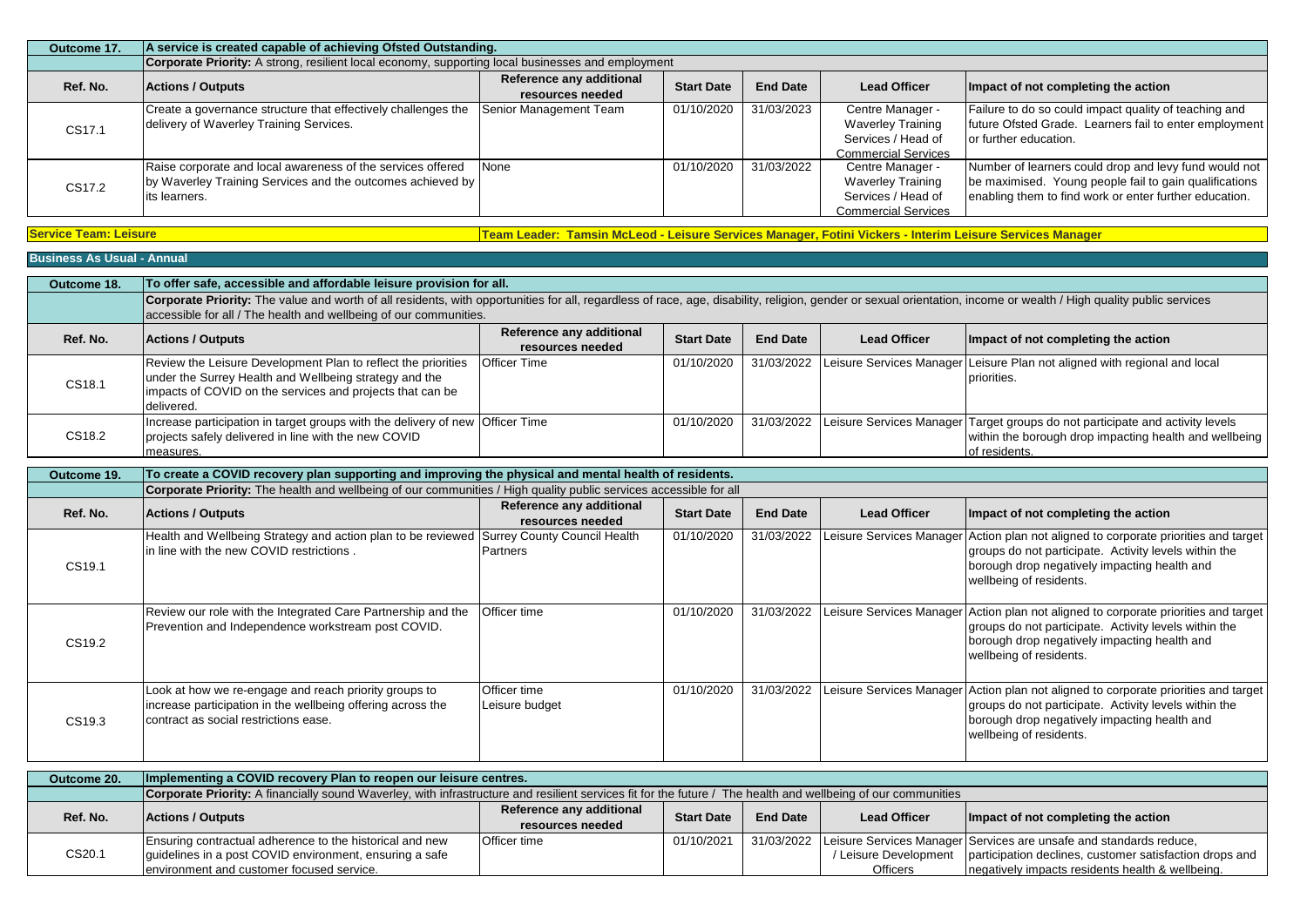| Outcome 17. | A service is created capable of achieving Ofsted Outstanding.                                                                               |                                              |                   |                 |                                                                                                  |                                                                                                                                                                           |  |  |
|-------------|---------------------------------------------------------------------------------------------------------------------------------------------|----------------------------------------------|-------------------|-----------------|--------------------------------------------------------------------------------------------------|---------------------------------------------------------------------------------------------------------------------------------------------------------------------------|--|--|
|             | <b>Corporate Priority:</b> A strong, resilient local economy, supporting local businesses and employment                                    |                                              |                   |                 |                                                                                                  |                                                                                                                                                                           |  |  |
| Ref. No.    | <b>Actions / Outputs</b>                                                                                                                    | Reference any additional<br>resources needed | <b>Start Date</b> | <b>End Date</b> | <b>Lead Officer</b>                                                                              | Impact of not completing the action                                                                                                                                       |  |  |
| CS17.1      | Create a governance structure that effectively challenges the<br>delivery of Waverley Training Services.                                    | Senior Management Team                       | 01/10/2020        | 31/03/2023      | Centre Manager -<br><b>Waverley Training</b><br>Services / Head of<br><b>Commercial Services</b> | Failure to do so could impact quality of teaching and<br>future Ofsted Grade. Learners fail to enter employment<br>or further education.                                  |  |  |
| CS17.2      | Raise corporate and local awareness of the services offered<br>by Waverley Training Services and the outcomes achieved by<br>lits learners. | None:                                        | 01/10/2020        | 31/03/2022      | Centre Manager -<br><b>Waverley Training</b><br>Services / Head of<br><b>Commercial Services</b> | Number of learners could drop and levy fund would not<br>be maximised. Young people fail to gain qualifications<br>enabling them to find work or enter further education. |  |  |

**Service Team: Leisure Team Leader: Tamsin McLeod - Leisure Services Manager, Fotini Vickers - Interim Leisure Services Manager** 

| Outcome 18. | To offer safe, accessible and affordable leisure provision for all.                                                                                                                                                                                                                     |                                              |                   |                 |                     |                                                                                                                                                                     |  |
|-------------|-----------------------------------------------------------------------------------------------------------------------------------------------------------------------------------------------------------------------------------------------------------------------------------------|----------------------------------------------|-------------------|-----------------|---------------------|---------------------------------------------------------------------------------------------------------------------------------------------------------------------|--|
|             | Corporate Priority: The value and worth of all residents, with opportunities for all, regardless of race, age, disability, religion, gender or sexual orientation, income or wealth / High quality public services<br>accessible for all / The health and wellbeing of our communities. |                                              |                   |                 |                     |                                                                                                                                                                     |  |
| Ref. No.    | <b>Actions / Outputs</b>                                                                                                                                                                                                                                                                | Reference any additional<br>resources needed | <b>Start Date</b> | <b>End Date</b> | <b>Lead Officer</b> | Impact of not completing the action                                                                                                                                 |  |
| CS18.1      | Review the Leisure Development Plan to reflect the priorities<br>under the Surrey Health and Wellbeing strategy and the<br>impacts of COVID on the services and projects that can be<br>delivered.                                                                                      | <b>Officer Time</b>                          | 01/10/2020        |                 |                     | 31/03/2022 Leisure Services Manager Leisure Plan not aligned with regional and local<br>priorities.                                                                 |  |
| CS18.2      | Increase participation in target groups with the delivery of new Officer Time<br>projects safely delivered in line with the new COVID<br>measures.                                                                                                                                      |                                              | 01/10/2020        |                 |                     | 31/03/2022 Leisure Services Manager Target groups do not participate and activity levels<br>within the borough drop impacting health and wellbeing<br>of residents. |  |

| Outcome 19. | To create a COVID recovery plan supporting and improving the physical and mental health of residents.                                                         |                                              |                   |                 |                     |                                                                                                                                                                                                                         |  |  |  |
|-------------|---------------------------------------------------------------------------------------------------------------------------------------------------------------|----------------------------------------------|-------------------|-----------------|---------------------|-------------------------------------------------------------------------------------------------------------------------------------------------------------------------------------------------------------------------|--|--|--|
|             | Corporate Priority: The health and wellbeing of our communities / High quality public services accessible for all                                             |                                              |                   |                 |                     |                                                                                                                                                                                                                         |  |  |  |
| Ref. No.    | <b>Actions / Outputs</b>                                                                                                                                      | Reference any additional<br>resources needed | <b>Start Date</b> | <b>End Date</b> | <b>Lead Officer</b> | Impact of not completing the action                                                                                                                                                                                     |  |  |  |
| CS19.1      | Health and Wellbeing Strategy and action plan to be reviewed Surrey County Council Health<br>In line with the new COVID restrictions.                         | Partners                                     | 01/10/2020        | 31/03/2022      |                     | Leisure Services Manager Action plan not aligned to corporate priorities and target<br>groups do not participate. Activity levels within the<br>borough drop negatively impacting health and<br>wellbeing of residents. |  |  |  |
| CS19.2      | Review our role with the Integrated Care Partnership and the<br>Prevention and Independence workstream post COVID.                                            | Officer time                                 | 01/10/2020        | 31/03/2022      |                     | Leisure Services Manager Action plan not aligned to corporate priorities and target<br>groups do not participate. Activity levels within the<br>borough drop negatively impacting health and<br>wellbeing of residents. |  |  |  |
| CS19.3      | Look at how we re-engage and reach priority groups to<br>increase participation in the wellbeing offering across the<br>contract as social restrictions ease. | <b>Officer time</b><br>Leisure budget        | 01/10/2020        | 31/03/2022      |                     | Leisure Services Manager Action plan not aligned to corporate priorities and target<br>groups do not participate. Activity levels within the<br>borough drop negatively impacting health and<br>wellbeing of residents. |  |  |  |

| Outcome 20. | Implementing a COVID recovery Plan to reopen our leisure centres.                                                                                             |                                              |                   |                 |                     |                                                                                 |  |  |
|-------------|---------------------------------------------------------------------------------------------------------------------------------------------------------------|----------------------------------------------|-------------------|-----------------|---------------------|---------------------------------------------------------------------------------|--|--|
|             | Corporate Priority: A financially sound Waverley, with infrastructure and resilient services fit for the future / The health and wellbeing of our communities |                                              |                   |                 |                     |                                                                                 |  |  |
| Ref. No.    | <b>Actions / Outputs</b>                                                                                                                                      | Reference any additional<br>resources needed | <b>Start Date</b> | <b>End Date</b> | <b>Lead Officer</b> | Impact of not completing the action                                             |  |  |
|             |                                                                                                                                                               |                                              |                   |                 |                     |                                                                                 |  |  |
|             | Ensuring contractual adherence to the historical and new                                                                                                      | <b>Officer time</b>                          | 01/10/2021        |                 |                     | 31/03/2022 Leisure Services Manager Services are unsafe and standards reduce,   |  |  |
| CS20.1      | guidelines in a post COVID environment, ensuring a safe                                                                                                       |                                              |                   |                 |                     | / Leisure Development   participation declines, customer satisfaction drops and |  |  |
|             | environment and customer focused service.                                                                                                                     |                                              |                   |                 | <b>Officers</b>     | negatively impacts residents health & wellbeing.                                |  |  |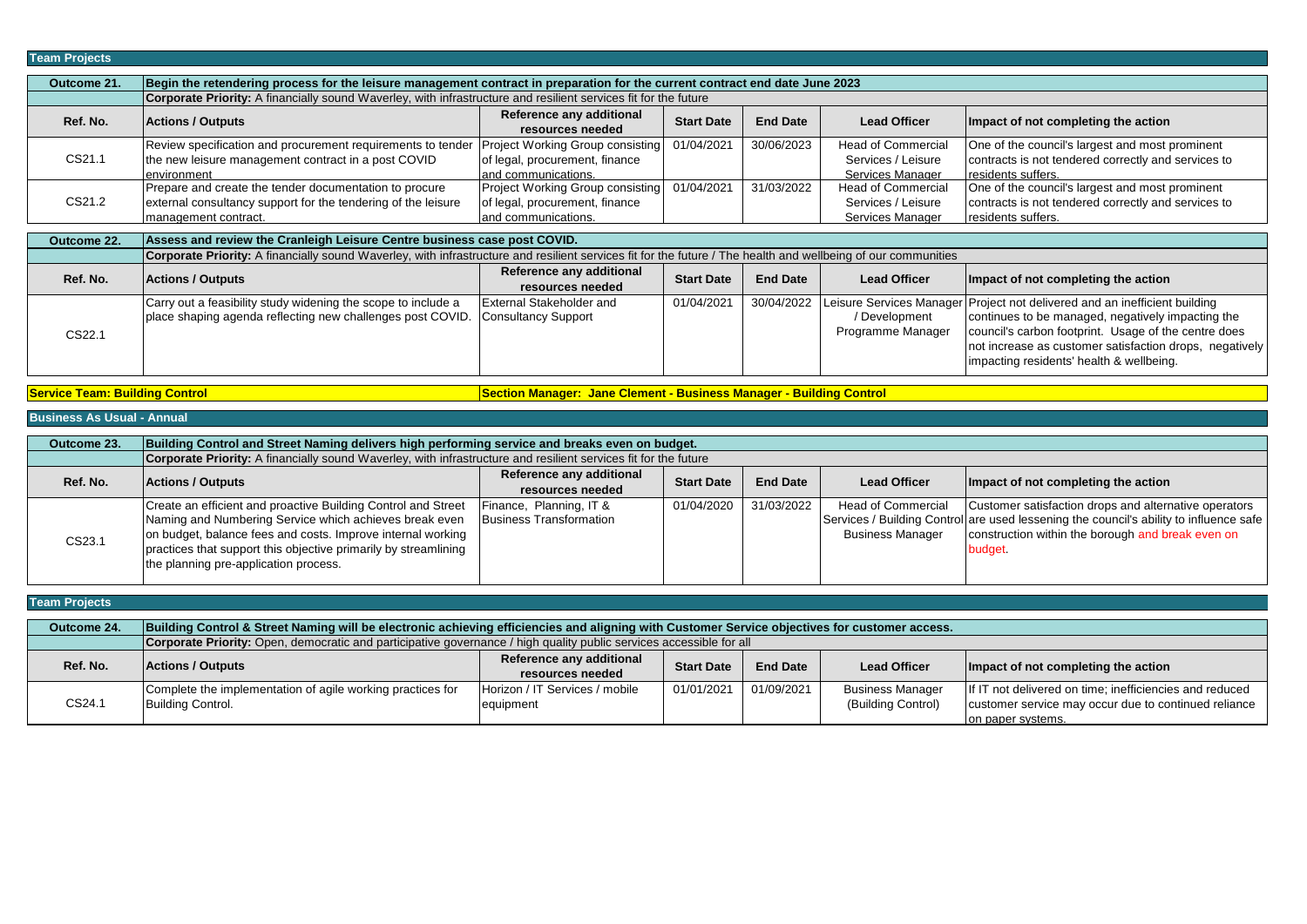| Team Projects |                                                                                                                                                               |                                                                                            |                   |                 |                                                                     |                                                                                                                                                                                                                                                                                                |  |  |  |
|---------------|---------------------------------------------------------------------------------------------------------------------------------------------------------------|--------------------------------------------------------------------------------------------|-------------------|-----------------|---------------------------------------------------------------------|------------------------------------------------------------------------------------------------------------------------------------------------------------------------------------------------------------------------------------------------------------------------------------------------|--|--|--|
| Outcome 21.   | Begin the retendering process for the leisure management contract in preparation for the current contract end date June 2023                                  |                                                                                            |                   |                 |                                                                     |                                                                                                                                                                                                                                                                                                |  |  |  |
|               | <b>Corporate Priority:</b> A financially sound Waverley, with infrastructure and resilient services fit for the future                                        |                                                                                            |                   |                 |                                                                     |                                                                                                                                                                                                                                                                                                |  |  |  |
| Ref. No.      | <b>Actions / Outputs</b>                                                                                                                                      | Reference any additional<br>resources needed                                               | <b>Start Date</b> | <b>End Date</b> | <b>Lead Officer</b>                                                 | Impact of not completing the action                                                                                                                                                                                                                                                            |  |  |  |
| CS21.1        | Review specification and procurement requirements to tender<br>the new leisure management contract in a post COVID<br>environment                             | Project Working Group consisting<br>of legal, procurement, finance<br>land communications. | 01/04/2021        | 30/06/2023      | <b>Head of Commercial</b><br>Services / Leisure<br>Services Manager | One of the council's largest and most prominent<br>contracts is not tendered correctly and services to<br>residents suffers.                                                                                                                                                                   |  |  |  |
| CS21.2        | Prepare and create the tender documentation to procure<br>external consultancy support for the tendering of the leisure<br>management contract.               | Project Working Group consisting<br>of legal, procurement, finance<br>and communications.  | 01/04/2021        | 31/03/2022      | <b>Head of Commercial</b><br>Services / Leisure<br>Services Manager | One of the council's largest and most prominent<br>contracts is not tendered correctly and services to<br>residents suffers.                                                                                                                                                                   |  |  |  |
|               | Assess and review the Cranleigh Leisure Centre business case post COVID.                                                                                      |                                                                                            |                   |                 |                                                                     |                                                                                                                                                                                                                                                                                                |  |  |  |
| Outcome 22.   | Corporate Priority: A financially sound Waverley, with infrastructure and resilient services fit for the future / The health and wellbeing of our communities |                                                                                            |                   |                 |                                                                     |                                                                                                                                                                                                                                                                                                |  |  |  |
| Ref. No.      | <b>Actions / Outputs</b>                                                                                                                                      | Reference any additional<br>resources needed                                               | <b>Start Date</b> | <b>End Date</b> | <b>Lead Officer</b>                                                 | Impact of not completing the action                                                                                                                                                                                                                                                            |  |  |  |
| CS22.1        | Carry out a feasibility study widening the scope to include a<br>place shaping agenda reflecting new challenges post COVID.                                   | External Stakeholder and<br><b>Consultancy Support</b>                                     | 01/04/2021        | 30/04/2022      | / Development<br>Programme Manager                                  | Leisure Services Manager Project not delivered and an inefficient building<br>continues to be managed, negatively impacting the<br>council's carbon footprint. Usage of the centre does<br>not increase as customer satisfaction drops, negatively<br>impacting residents' health & wellbeing. |  |  |  |

**Service Team: Building Control <b>Section Control Section Manager: Jane Clement - Business Manager - Building Control** 

| Outcome 23. | Building Control and Street Naming delivers high performing service and breaks even on budget.                                                                                                                                                                                                     |                                                           |                   |                 |                                               |                                                                                                                                                                                                                 |  |  |  |
|-------------|----------------------------------------------------------------------------------------------------------------------------------------------------------------------------------------------------------------------------------------------------------------------------------------------------|-----------------------------------------------------------|-------------------|-----------------|-----------------------------------------------|-----------------------------------------------------------------------------------------------------------------------------------------------------------------------------------------------------------------|--|--|--|
|             | Corporate Priority: A financially sound Waverley, with infrastructure and resilient services fit for the future                                                                                                                                                                                    |                                                           |                   |                 |                                               |                                                                                                                                                                                                                 |  |  |  |
| Ref. No.    | <b>Actions / Outputs</b>                                                                                                                                                                                                                                                                           | Reference any additional<br>resources needed              | <b>Start Date</b> | <b>End Date</b> | <b>Lead Officer</b>                           | Impact of not completing the action                                                                                                                                                                             |  |  |  |
| CS23.1      | Create an efficient and proactive Building Control and Street<br>Naming and Numbering Service which achieves break even<br>on budget, balance fees and costs. Improve internal working<br>practices that support this objective primarily by streamlining<br>the planning pre-application process. | Finance, Planning, IT &<br><b>Business Transformation</b> | 01/04/2020        | 31/03/2022      | Head of Commercial<br><b>Business Manager</b> | Customer satisfaction drops and alternative operators<br>Services / Building Control are used lessening the council's ability to influence safe<br>construction within the borough and break even on<br>budget. |  |  |  |

| <b>Team Projects</b> |                                                                                                                                               |                                |                   |                 |                         |                                                         |  |
|----------------------|-----------------------------------------------------------------------------------------------------------------------------------------------|--------------------------------|-------------------|-----------------|-------------------------|---------------------------------------------------------|--|
| Outcome 24.          | Building Control & Street Naming will be electronic achieving efficiencies and aligning with Customer Service objectives for customer access. |                                |                   |                 |                         |                                                         |  |
|                      | <b>Corporate Priority:</b> Open, democratic and participative governance / high quality public services accessible for all                    |                                |                   |                 |                         |                                                         |  |
| Ref. No.             | <b>Actions / Outputs</b>                                                                                                                      | Reference any additional       | <b>Start Date</b> | <b>End Date</b> | <b>Lead Officer</b>     | Impact of not completing the action                     |  |
|                      |                                                                                                                                               | resources needed               |                   |                 |                         |                                                         |  |
|                      | Complete the implementation of agile working practices for                                                                                    | Horizon / IT Services / mobile | 01/01/2021        | 01/09/2021      | <b>Business Manager</b> | If IT not delivered on time; inefficiencies and reduced |  |
| CS24.1               | Building Control.                                                                                                                             | equipment                      |                   |                 | (Building Control)      | customer service may occur due to continued reliance    |  |
|                      |                                                                                                                                               |                                |                   |                 |                         | on paper systems.                                       |  |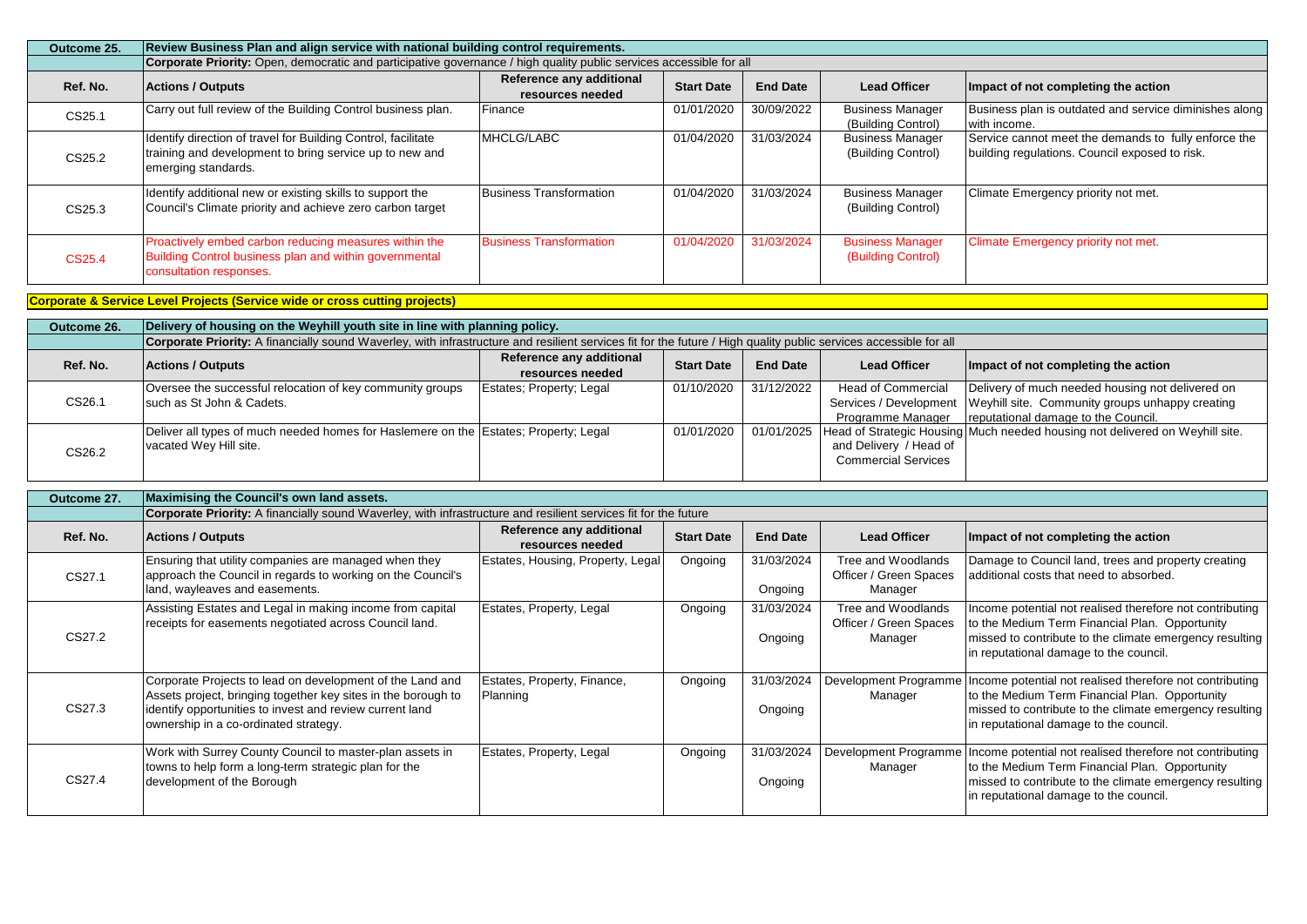| Outcome 25. | Review Business Plan and align service with national building control requirements.                                                             |                                              |                   |                 |                                               |                                                                                                        |  |  |  |
|-------------|-------------------------------------------------------------------------------------------------------------------------------------------------|----------------------------------------------|-------------------|-----------------|-----------------------------------------------|--------------------------------------------------------------------------------------------------------|--|--|--|
|             | Corporate Priority: Open, democratic and participative governance / high quality public services accessible for all                             |                                              |                   |                 |                                               |                                                                                                        |  |  |  |
| Ref. No.    | <b>Actions / Outputs</b>                                                                                                                        | Reference any additional<br>resources needed | <b>Start Date</b> | <b>End Date</b> | <b>Lead Officer</b>                           | Impact of not completing the action                                                                    |  |  |  |
| CS25.1      | Carry out full review of the Building Control business plan.                                                                                    | Finance                                      | 01/01/2020        | 30/09/2022      | <b>Business Manager</b><br>(Building Control) | Business plan is outdated and service diminishes along<br>with income.                                 |  |  |  |
| CS25.2      | Identify direction of travel for Building Control, facilitate<br>training and development to bring service up to new and<br>emerging standards. | MHCLG/LABC                                   | 01/04/2020        | 31/03/2024      | <b>Business Manager</b><br>(Building Control) | Service cannot meet the demands to fully enforce the<br>building regulations. Council exposed to risk. |  |  |  |
| CS25.3      | Identify additional new or existing skills to support the<br>Council's Climate priority and achieve zero carbon target                          | <b>Business Transformation</b>               | 01/04/2020        | 31/03/2024      | <b>Business Manager</b><br>(Building Control) | Climate Emergency priority not met.                                                                    |  |  |  |
| CS25.4      | Proactively embed carbon reducing measures within the<br>Building Control business plan and within governmental<br>consultation responses.      | <b>Business Transformation</b>               | 01/04/2020        | 31/03/2024      | <b>Business Manager</b><br>(Building Control) | Climate Emergency priority not met.                                                                    |  |  |  |

## **Corporate & Service Level Projects (Service wide or cross cutting projects)**

| Outcome 26. | Delivery of housing on the Weyhill youth site in line with planning policy.                                                                                       |                                              |                   |                 |                                                      |                                                                                                                                                                     |  |  |  |  |
|-------------|-------------------------------------------------------------------------------------------------------------------------------------------------------------------|----------------------------------------------|-------------------|-----------------|------------------------------------------------------|---------------------------------------------------------------------------------------------------------------------------------------------------------------------|--|--|--|--|
|             | Corporate Priority: A financially sound Waverley, with infrastructure and resilient services fit for the future / High quality public services accessible for all |                                              |                   |                 |                                                      |                                                                                                                                                                     |  |  |  |  |
| Ref. No.    | <b>Actions / Outputs</b>                                                                                                                                          | Reference any additional<br>resources needed | <b>Start Date</b> | <b>End Date</b> | <b>Lead Officer</b>                                  | Impact of not completing the action                                                                                                                                 |  |  |  |  |
| CS26.1      | Oversee the successful relocation of key community groups<br>such as St John & Cadets.                                                                            | Estates; Property; Legal                     | 01/10/2020        | 31/12/2022      | <b>Head of Commercial</b><br>Programme Manager       | Delivery of much needed housing not delivered on<br>Services / Development   Weyhill site. Community groups unhappy creating<br>reputational damage to the Council. |  |  |  |  |
| CS26.2      | Deliver all types of much needed homes for Haslemere on the Estates; Property; Legal<br>vacated Wey Hill site.                                                    |                                              | 01/01/2020        |                 | and Delivery / Head of<br><b>Commercial Services</b> | 01/01/2025   Head of Strategic Housing Much needed housing not delivered on Weyhill site.                                                                           |  |  |  |  |

| Outcome 27. | Maximising the Council's own land assets.                                                                                                                                                                                       |                                              |                   |                       |                                                         |                                                                                                                                                                                                                 |  |  |  |  |
|-------------|---------------------------------------------------------------------------------------------------------------------------------------------------------------------------------------------------------------------------------|----------------------------------------------|-------------------|-----------------------|---------------------------------------------------------|-----------------------------------------------------------------------------------------------------------------------------------------------------------------------------------------------------------------|--|--|--|--|
|             | <b>Corporate Priority:</b> A financially sound Waverley, with infrastructure and resilient services fit for the future                                                                                                          |                                              |                   |                       |                                                         |                                                                                                                                                                                                                 |  |  |  |  |
| Ref. No.    | <b>Actions / Outputs</b>                                                                                                                                                                                                        | Reference any additional<br>resources needed | <b>Start Date</b> | <b>End Date</b>       | <b>Lead Officer</b>                                     | Impact of not completing the action                                                                                                                                                                             |  |  |  |  |
| CS27.1      | Ensuring that utility companies are managed when they<br>approach the Council in regards to working on the Council's<br>land, wayleaves and easements.                                                                          | Estates, Housing, Property, Legal            | Ongoing           | 31/03/2024<br>Ongoing | Tree and Woodlands<br>Officer / Green Spaces<br>Manager | Damage to Council land, trees and property creating<br>additional costs that need to absorbed.                                                                                                                  |  |  |  |  |
| CS27.2      | Assisting Estates and Legal in making income from capital<br>receipts for easements negotiated across Council land.                                                                                                             | Estates, Property, Legal                     | Ongoing           | 31/03/2024<br>Ongoing | Tree and Woodlands<br>Officer / Green Spaces<br>Manager | Income potential not realised therefore not contributing<br>to the Medium Term Financial Plan. Opportunity<br>missed to contribute to the climate emergency resulting<br>in reputational damage to the council. |  |  |  |  |
| CS27.3      | Corporate Projects to lead on development of the Land and<br>Assets project, bringing together key sites in the borough to<br>identify opportunities to invest and review current land<br>ownership in a co-ordinated strategy. | Estates, Property, Finance,<br>Planning      | Ongoing           | 31/03/2024<br>Ongoing | Development Programme<br>Manager                        | Income potential not realised therefore not contributing<br>to the Medium Term Financial Plan. Opportunity<br>missed to contribute to the climate emergency resulting<br>in reputational damage to the council. |  |  |  |  |
| CS27.4      | Work with Surrey County Council to master-plan assets in<br>towns to help form a long-term strategic plan for the<br>development of the Borough                                                                                 | Estates, Property, Legal                     | Ongoing           | 31/03/2024<br>Ongoing | Development Programme<br>Manager                        | Income potential not realised therefore not contributing<br>to the Medium Term Financial Plan. Opportunity<br>missed to contribute to the climate emergency resulting<br>in reputational damage to the council. |  |  |  |  |